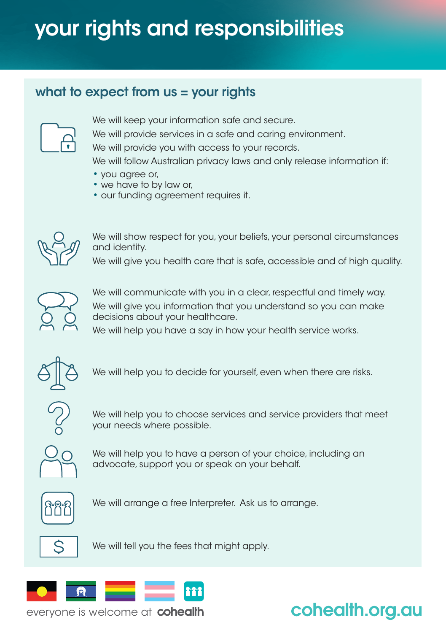# your rights and responsibilities

#### what to expect from  $us = your$  rights



We will keep your information safe and secure.

We will provide services in a safe and caring environment.

We will provide you with access to your records.

We will follow Australian privacy laws and only release information if:

- you agree or,
- we have to by law or,
- our funding agreement requires it.



We will show respect for you, your beliefs, your personal circumstances and identity.

We will give you health care that is safe, accessible and of high quality.



We will communicate with you in a clear, respectful and timely way. We will give you information that you understand so you can make decisions about your healthcare.

We will help you have a say in how your health service works.



We will help you to decide for yourself, even when there are risks.



We will help you to choose services and service providers that meet your needs where possible.



We will help you to have a person of your choice, including an advocate, support you or speak on your behalf.



We will arrange a free Interpreter. Ask us to arrange.



We will tell you the fees that might apply.



everyone is welcome at cohealth

## cohealth.org.au